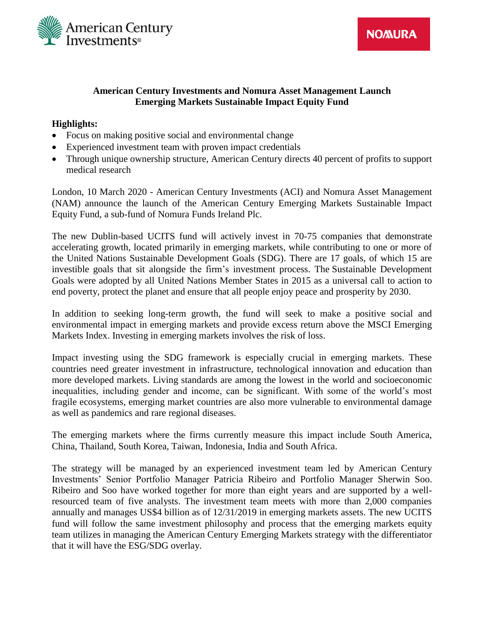

**NOMURA** 

# **American Century Investments and Nomura Asset Management Launch Emerging Markets Sustainable Impact Equity Fund**

## **Highlights:**

- Focus on making positive social and environmental change
- Experienced investment team with proven impact credentials
- Through unique ownership structure, American Century directs 40 percent of profits to support medical research

London, 10 March 2020 - American Century Investments (ACI) and Nomura Asset Management (NAM) announce the launch of the American Century Emerging Markets Sustainable Impact Equity Fund, a sub-fund of Nomura Funds Ireland Plc.

The new Dublin-based UCITS fund will actively invest in 70-75 companies that demonstrate accelerating growth, located primarily in emerging markets, while contributing to one or more of the United Nations Sustainable Development Goals (SDG). There are 17 goals, of which 15 are investible goals that sit alongside the firm's investment process. The Sustainable Development Goals were adopted by all United Nations Member States in 2015 as a universal call to action to end poverty, protect the planet and ensure that all people enjoy peace and prosperity by 2030.

In addition to seeking long-term growth, the fund will seek to make a positive social and environmental impact in emerging markets and provide excess return above the MSCI Emerging Markets Index. Investing in emerging markets involves the risk of loss.

Impact investing using the SDG framework is especially crucial in emerging markets. These countries need greater investment in infrastructure, technological innovation and education than more developed markets. Living standards are among the lowest in the world and socioeconomic inequalities, including gender and income, can be significant. With some of the world's most fragile ecosystems, emerging market countries are also more vulnerable to environmental damage as well as pandemics and rare regional diseases.

The emerging markets where the firms currently measure this impact include South America, China, Thailand, South Korea, Taiwan, Indonesia, India and South Africa.

The strategy will be managed by an experienced investment team led by American Century Investments' Senior Portfolio Manager Patricia Ribeiro and Portfolio Manager Sherwin Soo. Ribeiro and Soo have worked together for more than eight years and are supported by a wellresourced team of five analysts. The investment team meets with more than 2,000 companies annually and manages US\$4 billion as of 12/31/2019 in emerging markets assets. The new UCITS fund will follow the same investment philosophy and process that the emerging markets equity team utilizes in managing the American Century Emerging Markets strategy with the differentiator that it will have the ESG/SDG overlay.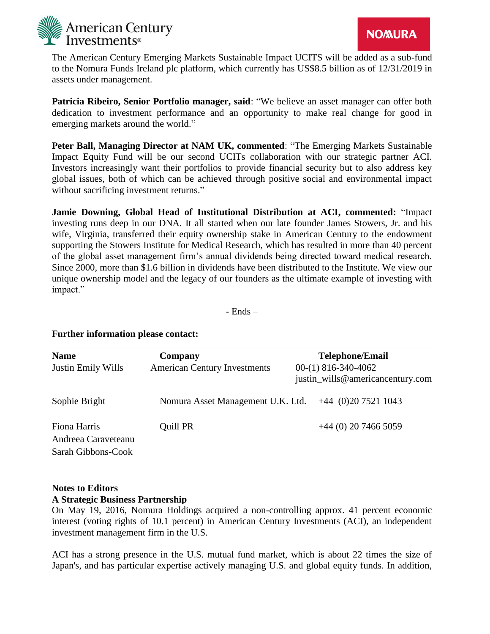

The American Century Emerging Markets Sustainable Impact UCITS will be added as a sub-fund to the Nomura Funds Ireland plc platform, which currently has US\$8.5 billion as of 12/31/2019 in assets under management.

**Patricia Ribeiro, Senior Portfolio manager, said**: "We believe an asset manager can offer both dedication to investment performance and an opportunity to make real change for good in emerging markets around the world."

**Peter Ball, Managing Director at NAM UK, commented**: "The Emerging Markets Sustainable Impact Equity Fund will be our second UCITs collaboration with our strategic partner ACI. Investors increasingly want their portfolios to provide financial security but to also address key global issues, both of which can be achieved through positive social and environmental impact without sacrificing investment returns."

**Jamie Downing, Global Head of Institutional Distribution at ACI, commented:** "Impact investing runs deep in our DNA. It all started when our late founder James Stowers, Jr. and his wife, Virginia, transferred their equity ownership stake in American Century to the endowment supporting the Stowers Institute for Medical Research, which has resulted in more than 40 percent of the global asset management firm's annual dividends being directed toward medical research. Since 2000, more than \$1.6 billion in dividends have been distributed to the Institute. We view our unique ownership model and the legacy of our founders as the ultimate example of investing with impact."

- Ends –

### **Further information please contact:**

| <b>Name</b>                                               | Company                             | <b>Telephone/Email</b>                                    |
|-----------------------------------------------------------|-------------------------------------|-----------------------------------------------------------|
| Justin Emily Wills                                        | <b>American Century Investments</b> | $00-(1)$ 816-340-4062<br>justin_wills@americancentury.com |
| Sophie Bright                                             | Nomura Asset Management U.K. Ltd.   | $+44$ (0)20 7521 1043                                     |
| Fiona Harris<br>Andreea Caraveteanu<br>Sarah Gibbons-Cook | Quill PR                            | $+44$ (0) 20 7466 5059                                    |

### **Notes to Editors A Strategic Business Partnership**

On May 19, 2016, Nomura Holdings acquired a non-controlling approx. 41 percent economic interest (voting rights of 10.1 percent) in American Century Investments (ACI), an independent investment management firm in the U.S.

ACI has a strong presence in the U.S. mutual fund market, which is about 22 times the size of Japan's, and has particular expertise actively managing U.S. and global equity funds. In addition,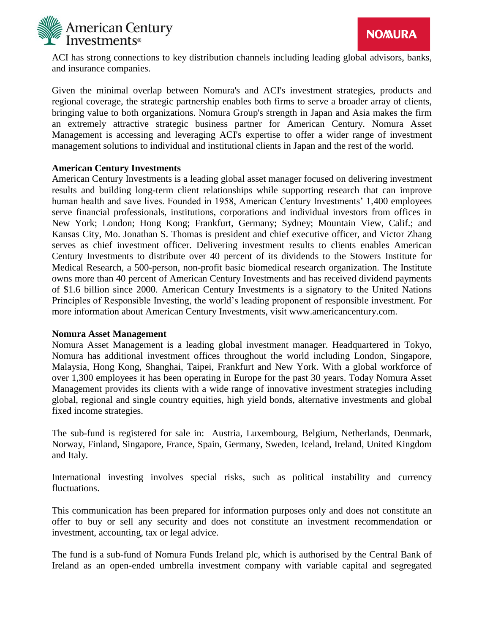

ACI has strong connections to key distribution channels including leading global advisors, banks, and insurance companies.

Given the minimal overlap between Nomura's and ACI's investment strategies, products and regional coverage, the strategic partnership enables both firms to serve a broader array of clients, bringing value to both organizations. Nomura Group's strength in Japan and Asia makes the firm an extremely attractive strategic business partner for American Century. Nomura Asset Management is accessing and leveraging ACI's expertise to offer a wider range of investment management solutions to individual and institutional clients in Japan and the rest of the world.

## **American Century Investments**

American Century Investments is a leading global asset manager focused on delivering investment results and building long-term client relationships while supporting research that can improve human health and save lives. Founded in 1958, American Century Investments' 1,400 employees serve financial professionals, institutions, corporations and individual investors from offices in New York; London; Hong Kong; Frankfurt, Germany; Sydney; Mountain View, Calif.; and Kansas City, Mo. Jonathan S. Thomas is president and chief executive officer, and Victor Zhang serves as chief investment officer. Delivering investment results to clients enables American Century Investments to distribute over 40 percent of its dividends to the Stowers Institute for Medical Research, a 500-person, non-profit basic biomedical research organization. The Institute owns more than 40 percent of American Century Investments and has received dividend payments of \$1.6 billion since 2000. American Century Investments is a signatory to the United Nations Principles of Responsible Investing, the world's leading proponent of responsible investment. For more information about American Century Investments, visit www.americancentury.com.

### **Nomura Asset Management**

Nomura Asset Management is a leading global investment manager. Headquartered in Tokyo, Nomura has additional investment offices throughout the world including London, Singapore, Malaysia, Hong Kong, Shanghai, Taipei, Frankfurt and New York. With a global workforce of over 1,300 employees it has been operating in Europe for the past 30 years. Today Nomura Asset Management provides its clients with a wide range of innovative investment strategies including global, regional and single country equities, high yield bonds, alternative investments and global fixed income strategies.

The sub-fund is registered for sale in: Austria, Luxembourg, Belgium, Netherlands, Denmark, Norway, Finland, Singapore, France, Spain, Germany, Sweden, Iceland, Ireland, United Kingdom and Italy.

International investing involves special risks, such as political instability and currency fluctuations.

This communication has been prepared for information purposes only and does not constitute an offer to buy or sell any security and does not constitute an investment recommendation or investment, accounting, tax or legal advice.

The fund is a sub-fund of Nomura Funds Ireland plc, which is authorised by the Central Bank of Ireland as an open-ended umbrella investment company with variable capital and segregated